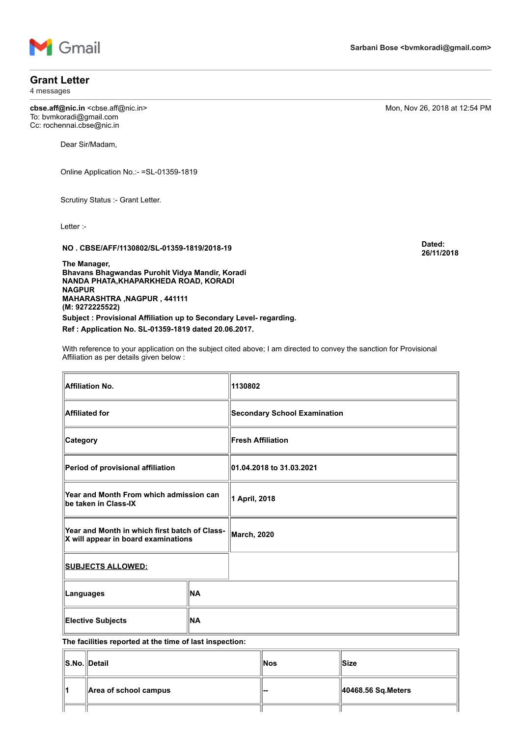

### **Grant Letter**

4 messages

**cbse.aff@nic.in** <cbse.aff@nic.in> **cbse.aff@nic.in**Mon, Nov 26, 2018 at 12:54 PM To: bvmkoradi@gmail.com Cc: rochennai.cbse@nic.in

Dear Sir/Madam,

Online Application No.:- =SL-01359-1819

Scrutiny Status :- Grant Letter.

Letter :-

**NO . CBSE/AFF/1130802/SL-01359-1819/2018-19 Dated:**

**The Manager, Bhavans Bhagwandas Purohit Vidya Mandir, Koradi NANDA PHATA,KHAPARKHEDA ROAD, KORADI NAGPUR MAHARASHTRA ,NAGPUR , 441111 (M: 9272225522)** 

**Subject : Provisional Affiliation up to Secondary Level- regarding. Ref : Application No. SL-01359-1819 dated 20.06.2017.**

With reference to your application on the subject cited above; I am directed to convey the sanction for Provisional Affiliation as per details given below :

**Affiliation No. 1130802 Affiliated for Secondary School Examination Category Fresh Affiliation Period of provisional affiliation 01.04.2018 to 31.03.2021 Year and Month From which admission can be taken in Class-IX 1 April, 2018 Year and Month in which first batch of Class-X will appear in board examinations** March, 2020<br>X will appear in board examinations **SUBJECTS ALLOWED: Languages NA Elective Subjects NA**

**The facilities reported at the time of last inspection:**

|    | S.No. Detail                      | ⊪Nos       | ∣lSize                          |
|----|-----------------------------------|------------|---------------------------------|
| 11 | $\parallel$ Area of school campus | <u>'--</u> | $\parallel$ 40468.56 Sq. Meters |
|    |                                   |            |                                 |

**Sarbani Bose <bvmkoradi@gmail.com>**

**26/11/2018**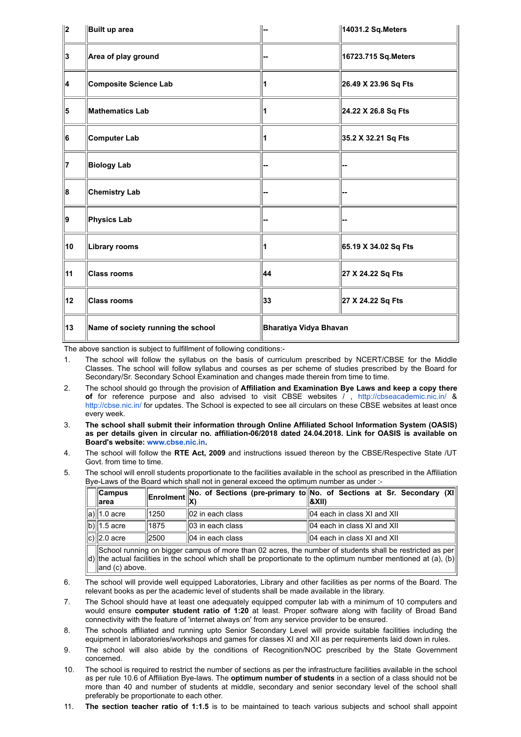| $\parallel$ 2 | Built up area                      |                        | 14031.2 Sq. Meters   |  |
|---------------|------------------------------------|------------------------|----------------------|--|
| 3             | Area of play ground                |                        | 16723.715 Sq.Meters  |  |
| 4             | Composite Science Lab              |                        | 26.49 X 23.96 Sq Fts |  |
| 5             | <b>Mathematics Lab</b>             |                        | 24.22 X 26.8 Sq Fts  |  |
| 6             | Computer Lab                       |                        | 35.2 X 32.21 Sq Fts  |  |
| 17            | <b>Biology Lab</b>                 |                        |                      |  |
| 8             | <b>Chemistry Lab</b>               |                        |                      |  |
| ∥9            | Physics Lab                        |                        |                      |  |
| 10            | Library rooms                      | 1                      | 65.19 X 34.02 Sq Fts |  |
| 11            | <b>Class rooms</b>                 | 44                     | 27 X 24.22 Sq Fts    |  |
| 12            | <b>Class rooms</b>                 | 33                     | 27 X 24.22 Sq Fts    |  |
| 13            | Name of society running the school | Bharatiya Vidya Bhavan |                      |  |

The above sanction is subject to fulfillment of following conditions:-

- 1. The school will follow the syllabus on the basis of curriculum prescribed by NCERT/CBSE for the Middle Classes. The school will follow syllabus and courses as per scheme of studies prescribed by the Board for Secondary/Sr. Secondary School Examination and changes made therein from time to time.
- 2. The school should go through the provision of **Affiliation and Examination Bye Laws and keep a copy there** of for reference purpose and also advised to visit CBSE websites / , <http://cbseacademic.nic.in/> & <http://cbse.nic.in/> for updates. The School is expected to see all circulars on these CBSE websites at least once every week.
- 3. **The school shall submit their information through Online Affiliated School Information System (OASIS) as per details given in circular no. affiliation-06/2018 dated 24.04.2018. Link for OASIS is available on Board's website: [www.cbse.nic.in.](http://www.cbse.nic.in/)**
- 4. The school will follow the **RTE Act, 2009** and instructions issued thereon by the CBSE/Respective State /UT Govt. from time to time.
- 5. The school will enroll students proportionate to the facilities available in the school as prescribed in the Affiliation Bye-Laws of the Board which shall not in general exceed the optimum number as under :-

| $\ $ Campus<br>∣larea                                                                                    |      |                    | Enrolment No. of Sections (pre-primary to No. of Sections at Sr. Secondary (XI)<br>1&XII) |  |
|----------------------------------------------------------------------------------------------------------|------|--------------------|-------------------------------------------------------------------------------------------|--|
| a) $\ $ 1.0 acre                                                                                         | 1250 | ll02 in each class | ll04 each in class XI and XII                                                             |  |
| b) $\ $ 1.5 acre                                                                                         | 1875 | 103 in each class  | ll04 each in class XI and XII                                                             |  |
| c) $\ $ 2.0 acre                                                                                         | 2500 | ll04 in each class | ll04 each in class XI and XII                                                             |  |
| School running on bigger campus of more than 02 acres, the number of students shall be restricted as per |      |                    |                                                                                           |  |

d) the actual facilities in the school which shall be proportionate to the optimum number mentioned at (a), (b)  $\parallel$ and (c) above.

- 6. The school will provide well equipped Laboratories, Library and other facilities as per norms of the Board. The relevant books as per the academic level of students shall be made available in the library.
- 7. The School should have at least one adequately equipped computer lab with a minimum of 10 computers and would ensure **computer student ratio of 1:20** at least. Proper software along with facility of Broad Band connectivity with the feature of 'internet always on' from any service provider to be ensured.
- 8. The schools affiliated and running upto Senior Secondary Level will provide suitable facilities including the equipment in laboratories/workshops and games for classes XI and XII as per requirements laid down in rules.
- 9. The school will also abide by the conditions of Recognition/NOC prescribed by the State Government concerned.
- 10. The school is required to restrict the number of sections as per the infrastructure facilities available in the school as per rule 10.6 of Affiliation Bye-laws. The **optimum number of students** in a section of a class should not be more than 40 and number of students at middle, secondary and senior secondary level of the school shall preferably be proportionate to each other.
- 11. **The section teacher ratio of 1:1.5** is to be maintained to teach various subjects and school shall appoint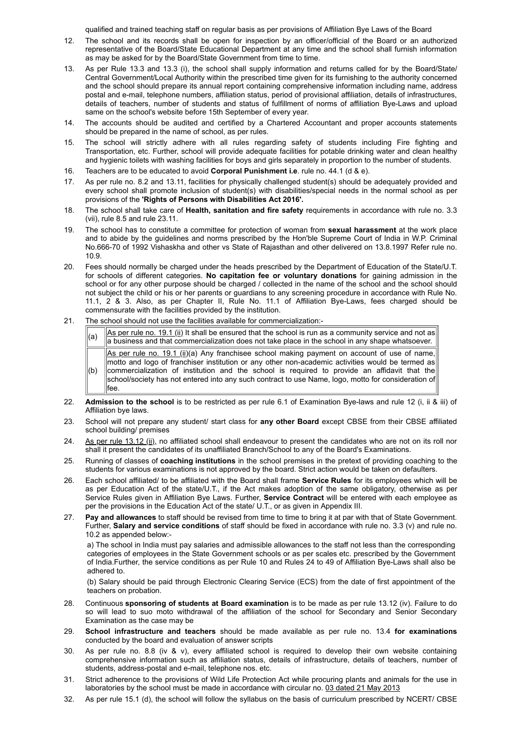qualified and trained teaching staff on regular basis as per provisions of Affiliation Bye Laws of the Board

- 12. The school and its records shall be open for inspection by an officer/official of the Board or an authorized representative of the Board/State Educational Department at any time and the school shall furnish information as may be asked for by the Board/State Government from time to time.
- 13. As per Rule 13.3 and 13.3 (i), the school shall supply information and returns called for by the Board/State/ Central Government/Local Authority within the prescribed time given for its furnishing to the authority concerned and the school should prepare its annual report containing comprehensive information including name, address postal and e-mail, telephone numbers, affiliation status, period of provisional affiliation, details of infrastructures, details of teachers, number of students and status of fulfillment of norms of affiliation Bye-Laws and upload same on the school's website before 15th September of every year.
- 14. The accounts should be audited and certified by a Chartered Accountant and proper accounts statements should be prepared in the name of school, as per rules.
- 15. The school will strictly adhere with all rules regarding safety of students including Fire fighting and Transportation, etc. Further, school will provide adequate facilities for potable drinking water and clean healthy and hygienic toilets with washing facilities for boys and girls separately in proportion to the number of students.
- 16. Teachers are to be educated to avoid **Corporal Punishment i.e**. rule no. 44.1 (d & e).
- 17. As per rule no. 8.2 and 13.11, facilities for physically challenged student(s) should be adequately provided and every school shall promote inclusion of student(s) with disabilities/special needs in the normal school as per provisions of the **'Rights of Persons with Disabilities Act 2016'.**
- 18. The school shall take care of **Health, sanitation and fire safety** requirements in accordance with rule no. 3.3 (vii), rule 8.5 and rule 23.11.
- 19. The school has to constitute a committee for protection of woman from **sexual harassment** at the work place and to abide by the guidelines and norms prescribed by the Hon'ble Supreme Court of India in W.P. Criminal No.666-70 of 1992 Vishaskha and other vs State of Rajasthan and other delivered on 13.8.1997 Refer rule no. 10.9.
- 20. Fees should normally be charged under the heads prescribed by the Department of Education of the State/U.T. for schools of different categories. **No capitation fee or voluntary donations** for gaining admission in the school or for any other purpose should be charged / collected in the name of the school and the school should not subject the child or his or her parents or guardians to any screening procedure in accordance with Rule No. 11.1, 2 & 3. Also, as per Chapter II, Rule No. 11.1 of Affiliation Bye-Laws, fees charged should be commensurate with the facilities provided by the institution.
- 21. The school should not use the facilities available for commercialization:-
	- $\alpha$  As per rule no. 19.1 (ii) It shall be ensured that the school is run as a community service and not as a business and that commercialization does not take place in the school in any shape whatsoever.  $(b)$ As per rule no. 19.1 (ii)(a) Any franchisee school making payment on account of use of name, motto and logo of franchiser institution or any other non-academic activities would be termed as commercialization of institution and the school is required to provide an affidavit that the school/society has not entered into any such contract to use Name, logo, motto for consideration of fee.
- 22. **Admission to the school** is to be restricted as per rule 6.1 of Examination Bye-laws and rule 12 (i, ii & iii) of Affiliation bye laws.
- 23. School will not prepare any student/ start class for **any other Board** except CBSE from their CBSE affiliated school building/ premises
- 24. As per rule 13.12 (ii), no affiliated school shall endeavour to present the candidates who are not on its roll nor shall it present the candidates of its unaffiliated Branch/School to any of the Board's Examinations.
- 25. Running of classes of **coaching institutions** in the school premises in the pretext of providing coaching to the students for various examinations is not approved by the board. Strict action would be taken on defaulters.
- 26. Each school affiliated/ to be affiliated with the Board shall frame **Service Rules** for its employees which will be as per Education Act of the state/U.T., if the Act makes adoption of the same obligatory, otherwise as per Service Rules given in Affiliation Bye Laws. Further, **Service Contract** will be entered with each employee as per the provisions in the Education Act of the state/ U.T., or as given in Appendix III.
- 27. **Pay and allowances** to staff should be revised from time to time to bring it at par with that of State Government. Further, **Salary and service conditions** of staff should be fixed in accordance with rule no. 3.3 (v) and rule no. 10.2 as appended below:-

a) The school in India must pay salaries and admissible allowances to the staff not less than the corresponding categories of employees in the State Government schools or as per scales etc. prescribed by the Government of India.Further, the service conditions as per Rule 10 and Rules 24 to 49 of Affiliation Bye-Laws shall also be adhered to.

(b) Salary should be paid through Electronic Clearing Service (ECS) from the date of first appointment of the teachers on probation.

- 28. Continuous **sponsoring of students at Board examination** is to be made as per rule 13.12 (iv). Failure to do so will lead to suo moto withdrawal of the affiliation of the school for Secondary and Senior Secondary Examination as the case may be
- 29. **School infrastructure and teachers** should be made available as per rule no. 13.4 **for examinations** conducted by the board and evaluation of answer scripts
- 30. As per rule no. 8.8 (iv & v), every affiliated school is required to develop their own website containing comprehensive information such as affiliation status, details of infrastructure, details of teachers, number of students, address-postal and e-mail, telephone nos. etc.
- 31. Strict adherence to the provisions of Wild Life Protection Act while procuring plants and animals for the use in laboratories by the school must be made in accordance with circular no. 03 dated 21 May 2013
- 32. As per rule 15.1 (d), the school will follow the syllabus on the basis of curriculum prescribed by NCERT/ CBSE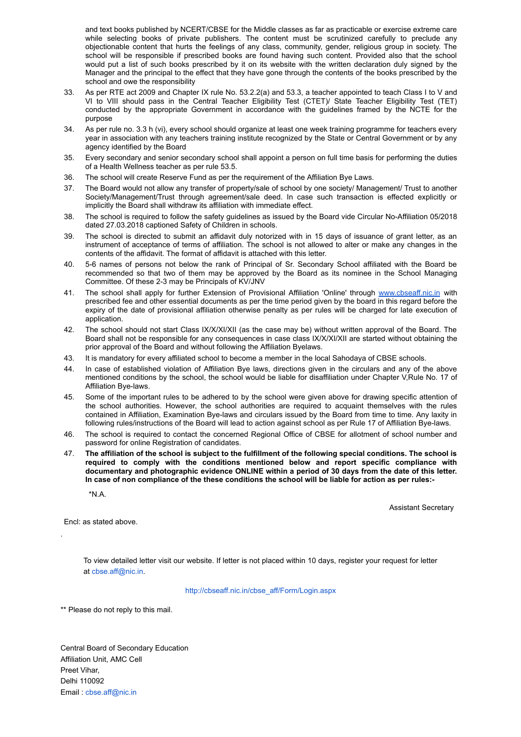and text books published by NCERT/CBSE for the Middle classes as far as practicable or exercise extreme care while selecting books of private publishers. The content must be scrutinized carefully to preclude any objectionable content that hurts the feelings of any class, community, gender, religious group in society. The school will be responsible if prescribed books are found having such content. Provided also that the school would put a list of such books prescribed by it on its website with the written declaration duly signed by the Manager and the principal to the effect that they have gone through the contents of the books prescribed by the school and owe the responsibility

- 33. As per RTE act 2009 and Chapter IX rule No. 53.2.2(a) and 53.3, a teacher appointed to teach Class I to V and VI to VIII should pass in the Central Teacher Eligibility Test (CTET)/ State Teacher Eligibility Test (TET) conducted by the appropriate Government in accordance with the guidelines framed by the NCTE for the purpose
- 34. As per rule no. 3.3 h (vi), every school should organize at least one week training programme for teachers every year in association with any teachers training institute recognized by the State or Central Government or by any agency identified by the Board
- 35. Every secondary and senior secondary school shall appoint a person on full time basis for performing the duties of a Health Wellness teacher as per rule 53.5.
- 36. The school will create Reserve Fund as per the requirement of the Affiliation Bye Laws.
- 37. The Board would not allow any transfer of property/sale of school by one society/ Management/ Trust to another Society/Management/Trust through agreement/sale deed. In case such transaction is effected explicitly or implicitly the Board shall withdraw its affiliation with immediate effect.
- 38. The school is required to follow the safety guidelines as issued by the Board vide Circular No-Affiliation 05/2018 dated 27.03.2018 captioned Safety of Children in schools.
- 39. The school is directed to submit an affidavit duly notorized with in 15 days of issuance of grant letter, as an instrument of acceptance of terms of affiliation. The school is not allowed to alter or make any changes in the contents of the affidavit. The format of affidavit is attached with this letter.
- 40. 5-6 names of persons not below the rank of Principal of Sr. Secondary School affiliated with the Board be recommended so that two of them may be approved by the Board as its nominee in the School Managing Committee. Of these 2-3 may be Principals of KV/JNV
- 41. The school shall apply for further Extension of Provisional Affiliation 'Online' through [www.cbseaff.nic.in](http://www.cbseaff.nic.in/) with prescribed fee and other essential documents as per the time period given by the board in this regard before the expiry of the date of provisional affiliation otherwise penalty as per rules will be charged for late execution of application.
- 42. The school should not start Class IX/X/XI/XII (as the case may be) without written approval of the Board. The Board shall not be responsible for any consequences in case class IX/X/XI/XII are started without obtaining the prior approval of the Board and without following the Affiliation Byelaws.
- 43. It is mandatory for every affiliated school to become a member in the local Sahodaya of CBSE schools.
- 44. In case of established violation of Affiliation Bye laws, directions given in the circulars and any of the above mentioned conditions by the school, the school would be liable for disaffiliation under Chapter V,Rule No. 17 of Affiliation Bye-laws.
- 45. Some of the important rules to be adhered to by the school were given above for drawing specific attention of the school authorities. However, the school authorities are required to acquaint themselves with the rules contained in Affiliation, Examination Bye-laws and circulars issued by the Board from time to time. Any laxity in following rules/instructions of the Board will lead to action against school as per Rule 17 of Affiliation Bye-laws.
- 46. The school is required to contact the concerned Regional Office of CBSE for allotment of school number and password for online Registration of candidates.
- 47. **The affiliation of the school is subject to the fulfillment of the following special conditions. The school is required to comply with the conditions mentioned below and report specific compliance with documentary and photographic evidence ONLINE within a period of 30 days from the date of this letter. In case of non compliance of the these conditions the school will be liable for action as per rules:-**

\*N.A.

Assistant Secretary

Encl: as stated above.

.

To view detailed letter visit our website. If letter is not placed within 10 days, register your request for letter at [cbse.aff@nic.in.](mailto:cbse.aff@nic.in)

[http://cbseaff.nic.in/cbse\\_aff/Form/Login.aspx](http://cbseaff.nic.in/cbse_aff/Form/Login.aspx)

\*\* Please do not reply to this mail.

Central Board of Secondary Education Affiliation Unit, AMC Cell Preet Vihar, Delhi 110092 Email : [cbse.aff@nic.in](mailto:cbse.aff@nic.in)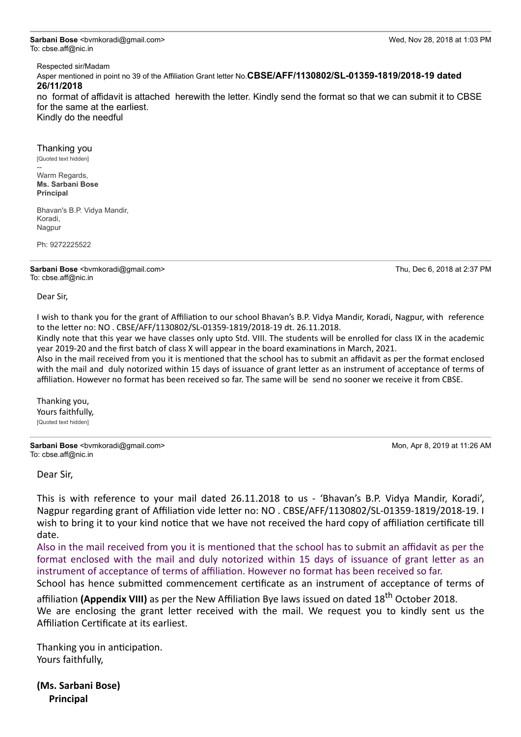**Sarbani Bose** <bvmkoradi@gmail.com> Wed, Nov 28, 2018 at 1:03 PM To: cbse.aff@nic.in

Respected sir/Madam

Asper mentioned in point no 39 of the Affiliation Grant letter No.**CBSE/AFF/1130802/SL-01359-1819/2018-19 dated 26/11/2018** 

no format of affidavit is attached herewith the letter. Kindly send the format so that we can submit it to CBSE for the same at the earliest.

Kindly do the needful

#### Thanking you

[Quoted text hidden]

-- Warm Regards, **Ms. Sarbani Bose Principal**

Bhavan's B.P. Vidya Mandir, Koradi, Nagpur

Ph: 9272225522

**Sarbani Bose** <bvmkoradi@gmail.com> Thu, Dec 6, 2018 at 2:37 PM To: cbse.aff@nic.in

Dear Sir,

I wish to thank you for the grant of Affiliation to our school Bhavan's B.P. Vidya Mandir, Koradi, Nagpur, with reference to the letter no: NO . CBSE/AFF/1130802/SL-01359-1819/2018-19 dt. 26.11.2018.

Kindly note that this year we have classes only upto Std. VIII. The students will be enrolled for class IX in the academic year 2019-20 and the first batch of class X will appear in the board examinations in March, 2021.

Also in the mail received from you it is mentioned that the school has to submit an affidavit as per the format enclosed with the mail and duly notorized within 15 days of issuance of grant letter as an instrument of acceptance of terms of affiliation. However no format has been received so far. The same will be send no sooner we receive it from CBSE.

Thanking you, Yours faithfully, [Quoted text hidden]

**Sarbani Bose** <bvmkoradi@gmail.com> Mon, Apr 8, 2019 at 11:26 AM To: cbse.aff@nic.in

Dear Sir,

This is with reference to your mail dated 26.11.2018 to us - 'Bhavan's B.P. Vidya Mandir, Koradi', Nagpur regarding grant of Affiliation vide letter no: NO . CBSE/AFF/1130802/SL-01359-1819/2018-19. I wish to bring it to your kind notice that we have not received the hard copy of affiliation certificate till date.

Also in the mail received from you it is mentioned that the school has to submit an affidavit as per the format enclosed with the mail and duly notorized within 15 days of issuance of grant letter as an instrument of acceptance of terms of affiliation. However no format has been received so far.

School has hence submitted commencement certificate as an instrument of acceptance of terms of

affiliation (Appendix VIII) as per the New Affiliation Bye laws issued on dated 18<sup>th</sup> October 2018. We are enclosing the grant letter received with the mail. We request you to kindly sent us the Affiliation Certificate at its earliest.

Thanking you in anticipation. Yours faithfully,

**(Ms. Sarbani Bose) Principal**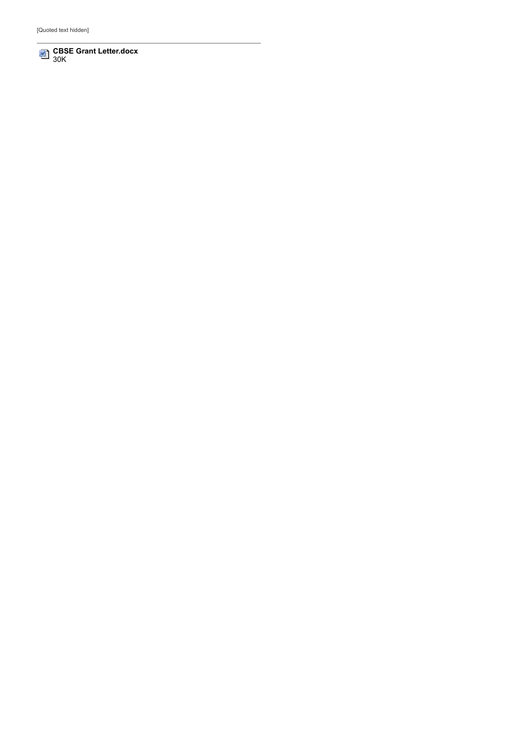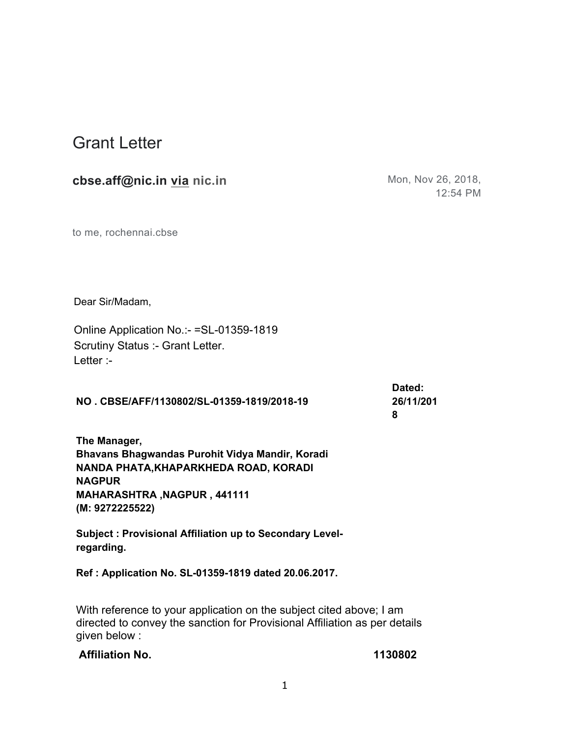# Grant Letter

# **cbse.aff@nic.in via nic.in** Mon, Nov 26, 2018,

12:54 PM

to me, rochennai.cbse

Dear Sir/Madam,

Online Application No.:- =SL-01359-1819 Scrutiny Status :- Grant Letter. Letter :-

**NO . CBSE/AFF/1130802/SL-01359-1819/2018-19**

**Dated: 26/11/201 8**

**The Manager, Bhavans Bhagwandas Purohit Vidya Mandir, Koradi NANDA PHATA,KHAPARKHEDA ROAD, KORADI NAGPUR MAHARASHTRA ,NAGPUR , 441111 (M: 9272225522)** 

**Subject : Provisional Affiliation up to Secondary Levelregarding.**

**Ref : Application No. SL-01359-1819 dated 20.06.2017.**

With reference to your application on the subject cited above; I am directed to convey the sanction for Provisional Affiliation as per details given below :

## **Affiliation No. 1130802**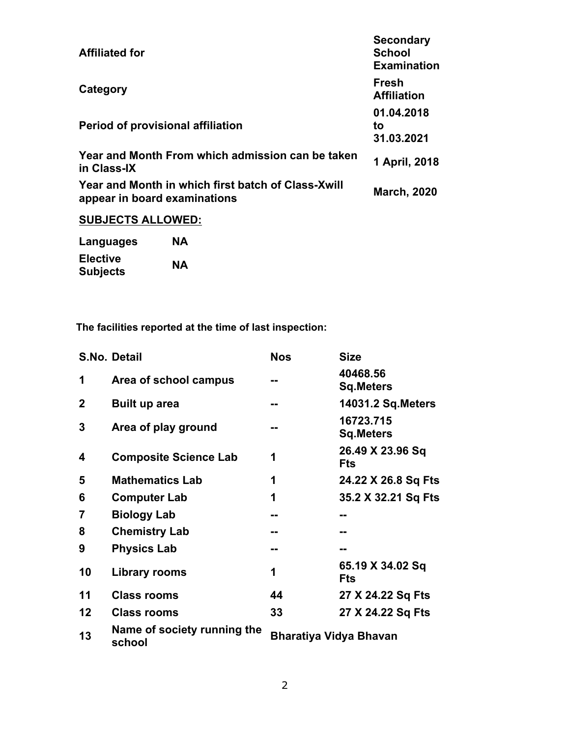| <b>Affiliated for</b>                                                              | <b>Secondary</b><br><b>School</b><br><b>Examination</b> |
|------------------------------------------------------------------------------------|---------------------------------------------------------|
| Category                                                                           | <b>Fresh</b><br><b>Affiliation</b>                      |
| Period of provisional affiliation                                                  | 01.04.2018<br>to<br>31.03.2021                          |
| Year and Month From which admission can be taken<br>in Class-IX                    | 1 April, 2018                                           |
| Year and Month in which first batch of Class-Xwill<br>appear in board examinations | <b>March, 2020</b>                                      |
| <b>SUBJECTS ALLOWED:</b>                                                           |                                                         |
|                                                                                    |                                                         |

**Languages NA Elective**   $Subjects$ 

**The facilities reported at the time of last inspection:**

|              | S.No. Detail                          | <b>Nos</b>                    | <b>Size</b>                    |
|--------------|---------------------------------------|-------------------------------|--------------------------------|
| 1            | Area of school campus                 |                               | 40468.56<br><b>Sq.Meters</b>   |
| $\mathbf{2}$ | Built up area                         | --                            | <b>14031.2 Sq. Meters</b>      |
| 3            | Area of play ground                   |                               | 16723.715<br><b>Sq.Meters</b>  |
| 4            | <b>Composite Science Lab</b>          | 1                             | 26.49 X 23.96 Sq<br><b>Fts</b> |
| 5            | <b>Mathematics Lab</b>                | 1                             | 24.22 X 26.8 Sq Fts            |
| 6            | <b>Computer Lab</b>                   | 1                             | 35.2 X 32.21 Sq Fts            |
| 7            | <b>Biology Lab</b>                    | --                            | --                             |
| 8            | <b>Chemistry Lab</b>                  |                               | --                             |
| 9            | <b>Physics Lab</b>                    |                               | --                             |
| 10           | Library rooms                         | 1                             | 65.19 X 34.02 Sq<br><b>Fts</b> |
| 11           | <b>Class rooms</b>                    | 44                            | 27 X 24.22 Sq Fts              |
| 12           | <b>Class rooms</b>                    | 33                            | 27 X 24.22 Sq Fts              |
| 13           | Name of society running the<br>school | <b>Bharatiya Vidya Bhavan</b> |                                |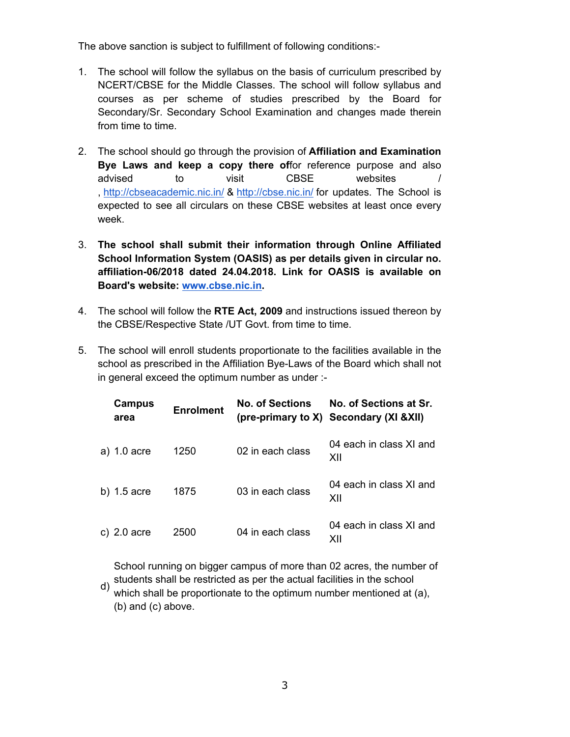The above sanction is subject to fulfillment of following conditions:-

- 1. The school will follow the syllabus on the basis of curriculum prescribed by NCERT/CBSE for the Middle Classes. The school will follow syllabus and courses as per scheme of studies prescribed by the Board for Secondary/Sr. Secondary School Examination and changes made therein from time to time.
- 2. The school should go through the provision of **Affiliation and Examination Bye Laws and keep a copy there of**for reference purpose and also advised to visit CBSE websites / , http://cbseacademic.nic.in/ & http://cbse.nic.in/ for updates. The School is expected to see all circulars on these CBSE websites at least once every week.
- 3. **The school shall submit their information through Online Affiliated School Information System (OASIS) as per details given in circular no. affiliation-06/2018 dated 24.04.2018. Link for OASIS is available on Board's website: www.cbse.nic.in.**
- 4. The school will follow the **RTE Act, 2009** and instructions issued thereon by the CBSE/Respective State /UT Govt. from time to time.
- 5. The school will enroll students proportionate to the facilities available in the school as prescribed in the Affiliation Bye-Laws of the Board which shall not in general exceed the optimum number as under :-

| Campus<br>area | <b>Enrolment</b> | <b>No. of Sections</b> | No. of Sections at Sr.<br>(pre-primary to X) Secondary (XI & XII) |
|----------------|------------------|------------------------|-------------------------------------------------------------------|
| a) 1.0 acre    | 1250             | 02 in each class       | 04 each in class XI and<br>XII                                    |
| b) $1.5$ acre  | 1875             | 03 in each class       | 04 each in class XI and<br>XII                                    |
| c) $2.0$ acre  | 2500             | 04 in each class       | 04 each in class XI and<br>XII                                    |

School running on bigger campus of more than 02 acres, the number of students shall be restricted as per the actual facilities in the school

d) which shall be proportionate to the optimum number mentioned at (a), (b) and (c) above.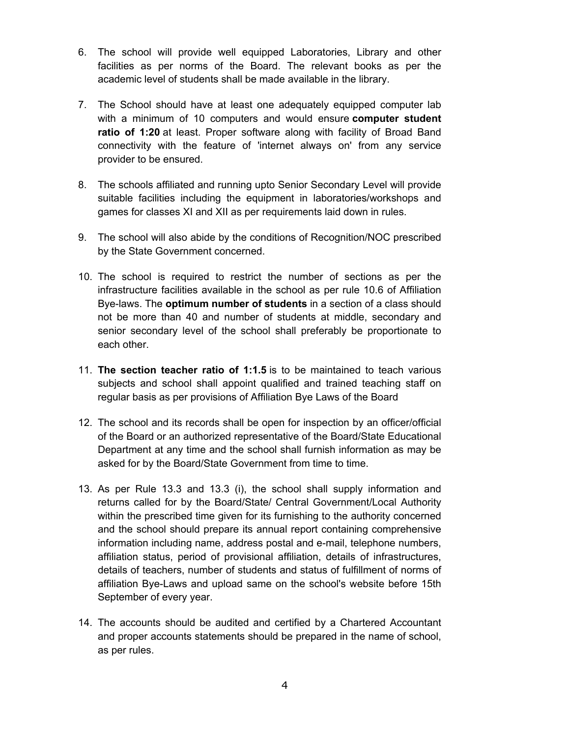- 6. The school will provide well equipped Laboratories, Library and other facilities as per norms of the Board. The relevant books as per the academic level of students shall be made available in the library.
- 7. The School should have at least one adequately equipped computer lab with a minimum of 10 computers and would ensure **computer student ratio of 1:20** at least. Proper software along with facility of Broad Band connectivity with the feature of 'internet always on' from any service provider to be ensured.
- 8. The schools affiliated and running upto Senior Secondary Level will provide suitable facilities including the equipment in laboratories/workshops and games for classes XI and XII as per requirements laid down in rules.
- 9. The school will also abide by the conditions of Recognition/NOC prescribed by the State Government concerned.
- 10. The school is required to restrict the number of sections as per the infrastructure facilities available in the school as per rule 10.6 of Affiliation Bye-laws. The **optimum number of students** in a section of a class should not be more than 40 and number of students at middle, secondary and senior secondary level of the school shall preferably be proportionate to each other.
- 11. **The section teacher ratio of 1:1.5** is to be maintained to teach various subjects and school shall appoint qualified and trained teaching staff on regular basis as per provisions of Affiliation Bye Laws of the Board
- 12. The school and its records shall be open for inspection by an officer/official of the Board or an authorized representative of the Board/State Educational Department at any time and the school shall furnish information as may be asked for by the Board/State Government from time to time.
- 13. As per Rule 13.3 and 13.3 (i), the school shall supply information and returns called for by the Board/State/ Central Government/Local Authority within the prescribed time given for its furnishing to the authority concerned and the school should prepare its annual report containing comprehensive information including name, address postal and e-mail, telephone numbers, affiliation status, period of provisional affiliation, details of infrastructures, details of teachers, number of students and status of fulfillment of norms of affiliation Bye-Laws and upload same on the school's website before 15th September of every year.
- 14. The accounts should be audited and certified by a Chartered Accountant and proper accounts statements should be prepared in the name of school, as per rules.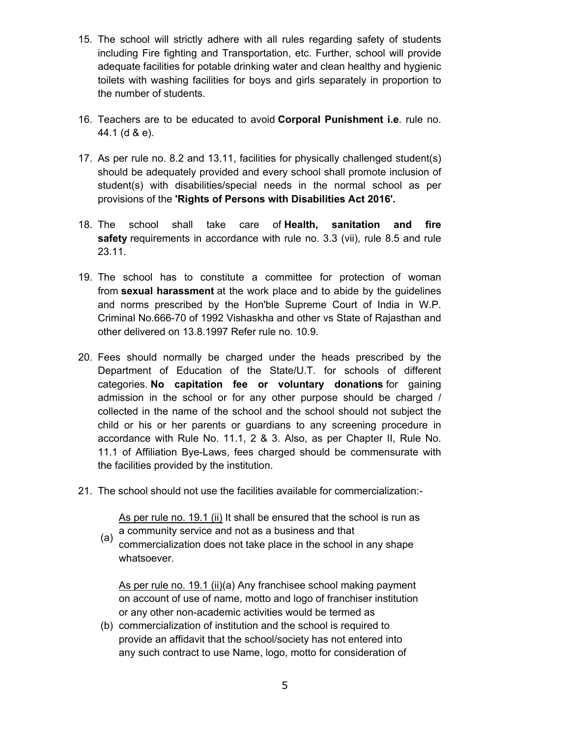- 15. The school will strictly adhere with all rules regarding safety of students including Fire fighting and Transportation, etc. Further, school will provide adequate facilities for potable drinking water and clean healthy and hygienic toilets with washing facilities for boys and girls separately in proportion to the number of students.
- 16. Teachers are to be educated to avoid **Corporal Punishment i.e**. rule no. 44.1 (d & e).
- 17. As per rule no. 8.2 and 13.11, facilities for physically challenged student(s) should be adequately provided and every school shall promote inclusion of student(s) with disabilities/special needs in the normal school as per provisions of the **'Rights of Persons with Disabilities Act 2016'.**
- 18. The school shall take care of **Health, sanitation and fire safety** requirements in accordance with rule no. 3.3 (vii), rule 8.5 and rule 23.11.
- 19. The school has to constitute a committee for protection of woman from **sexual harassment** at the work place and to abide by the guidelines and norms prescribed by the Hon'ble Supreme Court of India in W.P. Criminal No.666-70 of 1992 Vishaskha and other vs State of Rajasthan and other delivered on 13.8.1997 Refer rule no. 10.9.
- 20. Fees should normally be charged under the heads prescribed by the Department of Education of the State/U.T. for schools of different categories. **No capitation fee or voluntary donations** for gaining admission in the school or for any other purpose should be charged / collected in the name of the school and the school should not subject the child or his or her parents or guardians to any screening procedure in accordance with Rule No. 11.1, 2 & 3. Also, as per Chapter II, Rule No. 11.1 of Affiliation Bye-Laws, fees charged should be commensurate with the facilities provided by the institution.
- 21. The school should not use the facilities available for commercialization:-

As per rule no. 19.1 (ii) It shall be ensured that the school is run as a community service and not as a business and that

(a) commercialization does not take place in the school in any shape whatsoever.

As per rule no. 19.1 (ii)(a) Any franchisee school making payment on account of use of name, motto and logo of franchiser institution or any other non-academic activities would be termed as

(b) commercialization of institution and the school is required to provide an affidavit that the school/society has not entered into any such contract to use Name, logo, motto for consideration of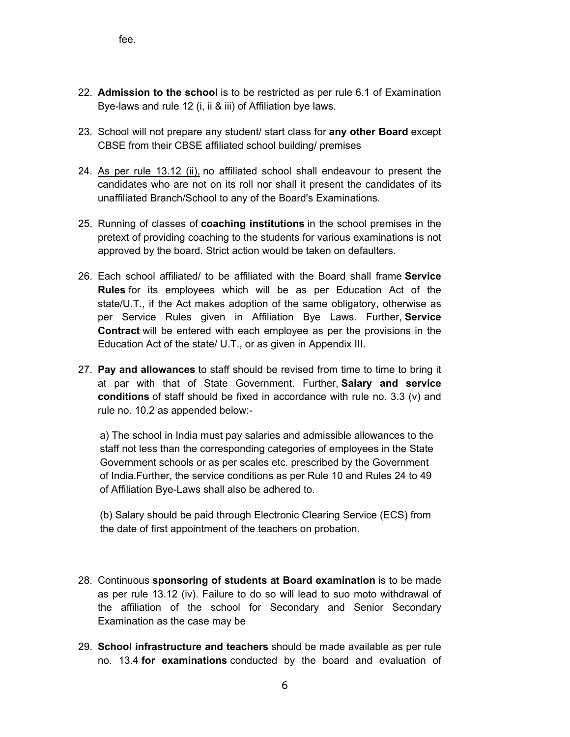- 22. **Admission to the school** is to be restricted as per rule 6.1 of Examination Bye-laws and rule 12 (i, ii & iii) of Affiliation bye laws.
- 23. School will not prepare any student/ start class for **any other Board** except CBSE from their CBSE affiliated school building/ premises
- 24. As per rule 13.12 (ii), no affiliated school shall endeavour to present the candidates who are not on its roll nor shall it present the candidates of its unaffiliated Branch/School to any of the Board's Examinations.
- 25. Running of classes of **coaching institutions** in the school premises in the pretext of providing coaching to the students for various examinations is not approved by the board. Strict action would be taken on defaulters.
- 26. Each school affiliated/ to be affiliated with the Board shall frame **Service Rules** for its employees which will be as per Education Act of the state/U.T., if the Act makes adoption of the same obligatory, otherwise as per Service Rules given in Affiliation Bye Laws. Further, **Service Contract** will be entered with each employee as per the provisions in the Education Act of the state/ U.T., or as given in Appendix III.
- 27. **Pay and allowances** to staff should be revised from time to time to bring it at par with that of State Government. Further, **Salary and service conditions** of staff should be fixed in accordance with rule no. 3.3 (v) and rule no. 10.2 as appended below:-

a) The school in India must pay salaries and admissible allowances to the staff not less than the corresponding categories of employees in the State Government schools or as per scales etc. prescribed by the Government of India.Further, the service conditions as per Rule 10 and Rules 24 to 49 of Affiliation Bye-Laws shall also be adhered to.

(b) Salary should be paid through Electronic Clearing Service (ECS) from the date of first appointment of the teachers on probation.

- 28. Continuous **sponsoring of students at Board examination** is to be made as per rule 13.12 (iv). Failure to do so will lead to suo moto withdrawal of the affiliation of the school for Secondary and Senior Secondary Examination as the case may be
- 29. **School infrastructure and teachers** should be made available as per rule no. 13.4 **for examinations** conducted by the board and evaluation of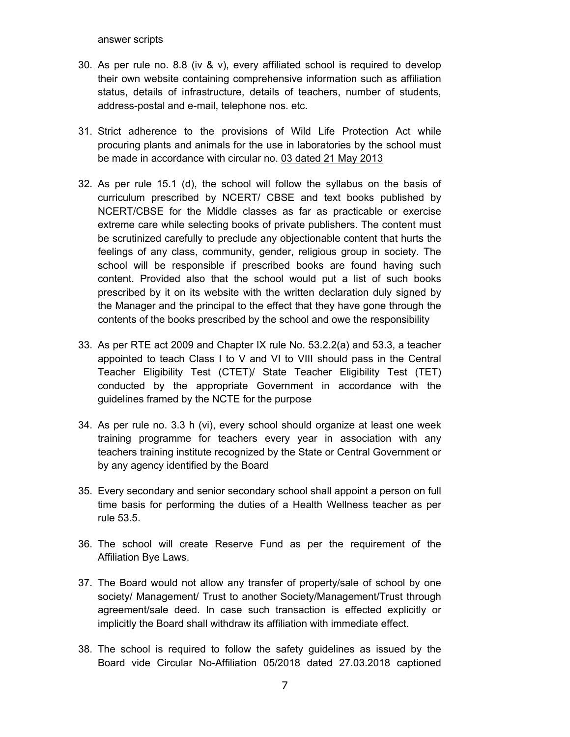answer scripts

- 30. As per rule no. 8.8 (iv & v), every affiliated school is required to develop their own website containing comprehensive information such as affiliation status, details of infrastructure, details of teachers, number of students, address-postal and e-mail, telephone nos. etc.
- 31. Strict adherence to the provisions of Wild Life Protection Act while procuring plants and animals for the use in laboratories by the school must be made in accordance with circular no. 03 dated 21 May 2013
- 32. As per rule 15.1 (d), the school will follow the syllabus on the basis of curriculum prescribed by NCERT/ CBSE and text books published by NCERT/CBSE for the Middle classes as far as practicable or exercise extreme care while selecting books of private publishers. The content must be scrutinized carefully to preclude any objectionable content that hurts the feelings of any class, community, gender, religious group in society. The school will be responsible if prescribed books are found having such content. Provided also that the school would put a list of such books prescribed by it on its website with the written declaration duly signed by the Manager and the principal to the effect that they have gone through the contents of the books prescribed by the school and owe the responsibility
- 33. As per RTE act 2009 and Chapter IX rule No. 53.2.2(a) and 53.3, a teacher appointed to teach Class I to V and VI to VIII should pass in the Central Teacher Eligibility Test (CTET)/ State Teacher Eligibility Test (TET) conducted by the appropriate Government in accordance with the guidelines framed by the NCTE for the purpose
- 34. As per rule no. 3.3 h (vi), every school should organize at least one week training programme for teachers every year in association with any teachers training institute recognized by the State or Central Government or by any agency identified by the Board
- 35. Every secondary and senior secondary school shall appoint a person on full time basis for performing the duties of a Health Wellness teacher as per rule 53.5.
- 36. The school will create Reserve Fund as per the requirement of the Affiliation Bye Laws.
- 37. The Board would not allow any transfer of property/sale of school by one society/ Management/ Trust to another Society/Management/Trust through agreement/sale deed. In case such transaction is effected explicitly or implicitly the Board shall withdraw its affiliation with immediate effect.
- 38. The school is required to follow the safety guidelines as issued by the Board vide Circular No-Affiliation 05/2018 dated 27.03.2018 captioned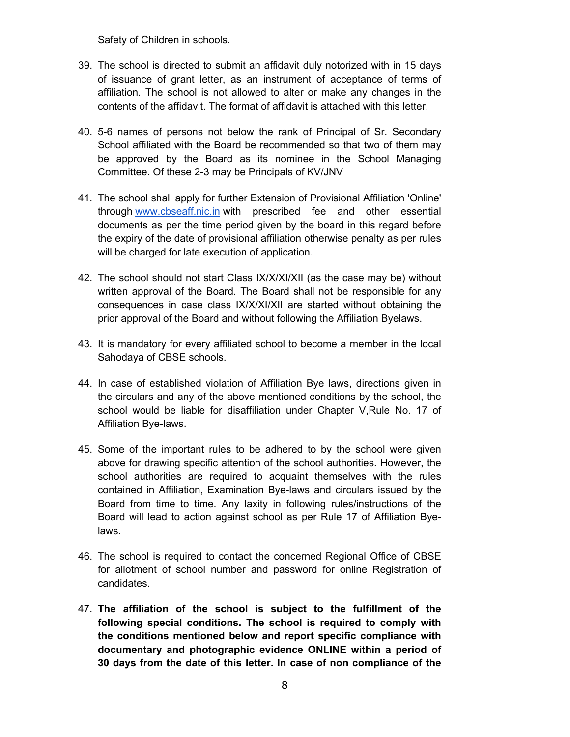Safety of Children in schools.

- 39. The school is directed to submit an affidavit duly notorized with in 15 days of issuance of grant letter, as an instrument of acceptance of terms of affiliation. The school is not allowed to alter or make any changes in the contents of the affidavit. The format of affidavit is attached with this letter.
- 40. 5-6 names of persons not below the rank of Principal of Sr. Secondary School affiliated with the Board be recommended so that two of them may be approved by the Board as its nominee in the School Managing Committee. Of these 2-3 may be Principals of KV/JNV
- 41. The school shall apply for further Extension of Provisional Affiliation 'Online' through www.cbseaff.nic.in with prescribed fee and other essential documents as per the time period given by the board in this regard before the expiry of the date of provisional affiliation otherwise penalty as per rules will be charged for late execution of application.
- 42. The school should not start Class IX/X/XI/XII (as the case may be) without written approval of the Board. The Board shall not be responsible for any consequences in case class IX/X/XI/XII are started without obtaining the prior approval of the Board and without following the Affiliation Byelaws.
- 43. It is mandatory for every affiliated school to become a member in the local Sahodaya of CBSE schools.
- 44. In case of established violation of Affiliation Bye laws, directions given in the circulars and any of the above mentioned conditions by the school, the school would be liable for disaffiliation under Chapter V,Rule No. 17 of Affiliation Bye-laws.
- 45. Some of the important rules to be adhered to by the school were given above for drawing specific attention of the school authorities. However, the school authorities are required to acquaint themselves with the rules contained in Affiliation, Examination Bye-laws and circulars issued by the Board from time to time. Any laxity in following rules/instructions of the Board will lead to action against school as per Rule 17 of Affiliation Byelaws.
- 46. The school is required to contact the concerned Regional Office of CBSE for allotment of school number and password for online Registration of candidates.
- 47. **The affiliation of the school is subject to the fulfillment of the following special conditions. The school is required to comply with the conditions mentioned below and report specific compliance with documentary and photographic evidence ONLINE within a period of 30 days from the date of this letter. In case of non compliance of the**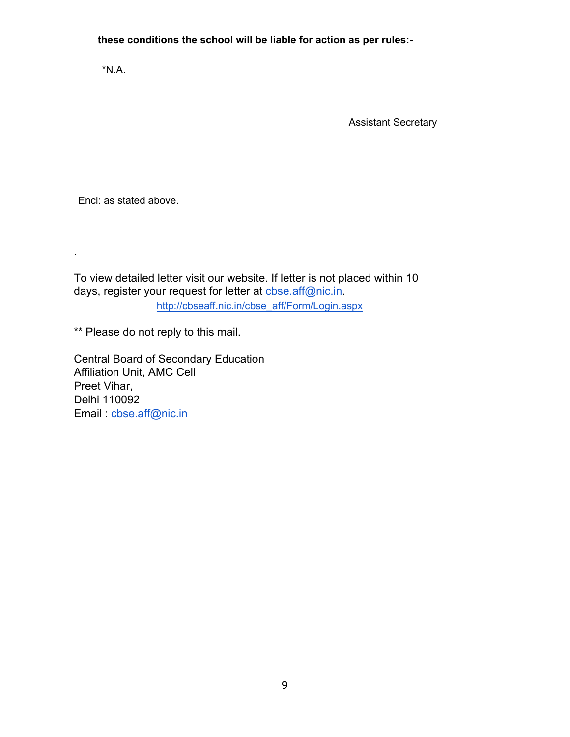**these conditions the school will be liable for action as per rules:-**

\*N.A.

Assistant Secretary

Encl: as stated above.

.

To view detailed letter visit our website. If letter is not placed within 10 days, register your request for letter at cbse.aff@nic.in. http://cbseaff.nic.in/cbse\_aff/Form/Login.aspx

\*\* Please do not reply to this mail.

Central Board of Secondary Education Affiliation Unit, AMC Cell Preet Vihar, Delhi 110092 Email : cbse.aff@nic.in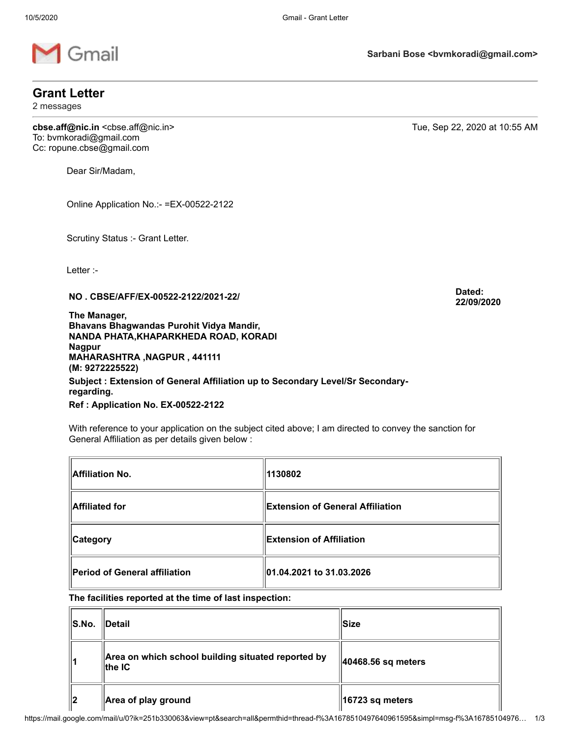

# **Grant Letter**

2 messages

**cbse.aff@nic.in** <cbse.aff@nic.in> Tue, Sep 22, 2020 at 10:55 AM To: bvmkoradi@gmail.com Cc: ropune.cbse@gmail.com

Dear Sir/Madam,

Online Application No.:- =EX-00522-2122

Scrutiny Status :- Grant Letter.

Letter :-

**NO . CBSE/AFF/EX-00522-2122/2021-22/ Dated:**

**The Manager, Bhavans Bhagwandas Purohit Vidya Mandir, NANDA PHATA,KHAPARKHEDA ROAD, KORADI Nagpur MAHARASHTRA ,NAGPUR , 441111 (M: 9272225522)** 

**Subject : Extension of General Affiliation up to Secondary Level/Sr Secondaryregarding.**

**Ref : Application No. EX-00522-2122**

With reference to your application on the subject cited above; I am directed to convey the sanction for General Affiliation as per details given below :

| Affiliation No.               | 1130802                          |
|-------------------------------|----------------------------------|
| Affiliated for                | Extension of General Affiliation |
| ∥Category                     | <b>Extension of Affiliation</b>  |
| Period of General affiliation | 01.04.2021 to 31.03.2026         |

#### **The facilities reported at the time of last inspection:**

| S.No. | $\blacksquare$ Detail                                         | <b>Size</b>                 |
|-------|---------------------------------------------------------------|-----------------------------|
|       | Area on which school building situated reported by<br>⊪the IC | 40468.56 sq meters          |
| 2     | Area of play ground                                           | $\parallel$ 16723 sq meters |

**Sarbani Bose <bvmkoradi@gmail.com>**

**22/09/2020**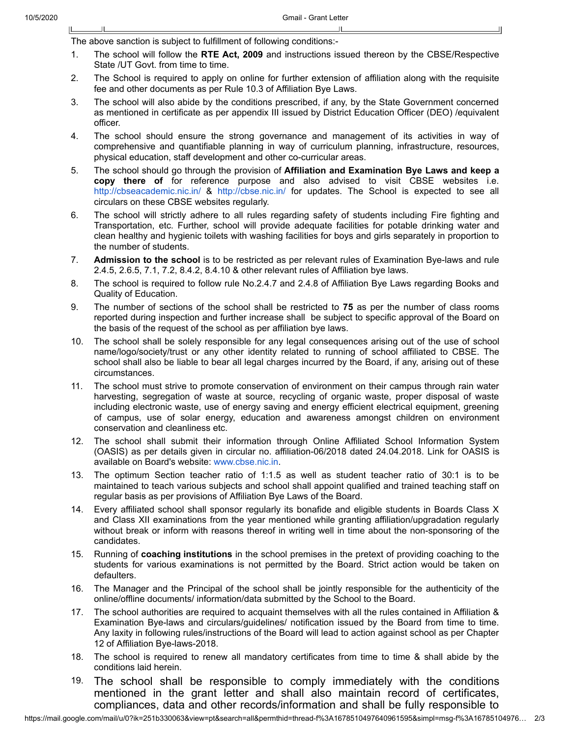The above sanction is subject to fulfillment of following conditions:-

- 1. The school will follow the **RTE Act, 2009** and instructions issued thereon by the CBSE/Respective State /UT Govt. from time to time.
- 2. The School is required to apply on online for further extension of affiliation along with the requisite fee and other documents as per Rule 10.3 of Affiliation Bye Laws.
- 3. The school will also abide by the conditions prescribed, if any, by the State Government concerned as mentioned in certificate as per appendix III issued by District Education Officer (DEO) /equivalent officer.
- 4. The school should ensure the strong governance and management of its activities in way of comprehensive and quantifiable planning in way of curriculum planning, infrastructure, resources, physical education, staff development and other co-curricular areas.
- 5. The school should go through the provision of **Affiliation and Examination Bye Laws and keep a copy there of** for reference purpose and also advised to visit CBSE websites i.e. http://cbseacademic.nic.in/ & http://cbse.nic.in/ for updates. The School is expected to see all circulars on these CBSE websites regularly.
- 6. The school will strictly adhere to all rules regarding safety of students including Fire fighting and Transportation, etc. Further, school will provide adequate facilities for potable drinking water and clean healthy and hygienic toilets with washing facilities for boys and girls separately in proportion to the number of students.
- 7. **Admission to the school** is to be restricted as per relevant rules of Examination Bye-laws and rule 2.4.5, 2.6.5, 7.1, 7.2, 8.4.2, 8.4.10 & other relevant rules of Affiliation bye laws.
- 8. The school is required to follow rule No.2.4.7 and 2.4.8 of Affiliation Bye Laws regarding Books and Quality of Education.
- 9. The number of sections of the school shall be restricted to **75** as per the number of class rooms reported during inspection and further increase shall be subject to specific approval of the Board on the basis of the request of the school as per affiliation bye laws.
- 10. The school shall be solely responsible for any legal consequences arising out of the use of school name/logo/society/trust or any other identity related to running of school affiliated to CBSE. The school shall also be liable to bear all legal charges incurred by the Board, if any, arising out of these circumstances.
- 11. The school must strive to promote conservation of environment on their campus through rain water harvesting, segregation of waste at source, recycling of organic waste, proper disposal of waste including electronic waste, use of energy saving and energy efficient electrical equipment, greening of campus, use of solar energy, education and awareness amongst children on environment conservation and cleanliness etc.
- 12. The school shall submit their information through Online Affiliated School Information System (OASIS) as per details given in circular no. affiliation-06/2018 dated 24.04.2018. Link for OASIS is available on Board's website: www.cbse.nic.in.
- 13. The optimum Section teacher ratio of 1:1.5 as well as student teacher ratio of 30:1 is to be maintained to teach various subjects and school shall appoint qualified and trained teaching staff on regular basis as per provisions of Affiliation Bye Laws of the Board.
- 14. Every affiliated school shall sponsor regularly its bonafide and eligible students in Boards Class X and Class XII examinations from the year mentioned while granting affiliation/upgradation regularly without break or inform with reasons thereof in writing well in time about the non-sponsoring of the candidates.
- 15. Running of **coaching institutions** in the school premises in the pretext of providing coaching to the students for various examinations is not permitted by the Board. Strict action would be taken on defaulters.
- 16. The Manager and the Principal of the school shall be jointly responsible for the authenticity of the online/offline documents/ information/data submitted by the School to the Board.
- 17. The school authorities are required to acquaint themselves with all the rules contained in Affiliation & Examination Bye-laws and circulars/guidelines/ notification issued by the Board from time to time. Any laxity in following rules/instructions of the Board will lead to action against school as per Chapter 12 of Affiliation Bye-laws-2018.
- 18. The school is required to renew all mandatory certificates from time to time & shall abide by the conditions laid herein.
- 19. The school shall be responsible to comply immediately with the conditions mentioned in the grant letter and shall also maintain record of certificates, compliances, data and other records/information and shall be fully responsible to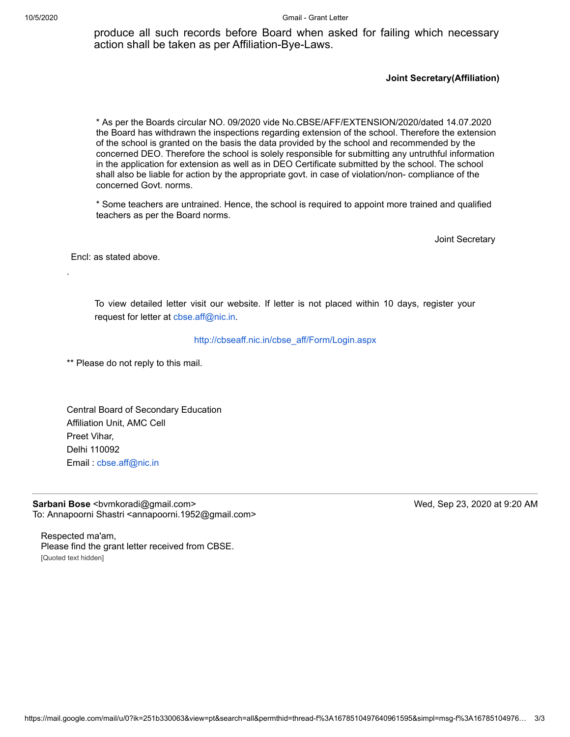10/5/2020 Gmail - Grant Letter

produce all such records before Board when asked for failing which necessary action shall be taken as per Affiliation-Bye-Laws.

#### **Joint Secretary(Affiliation)**

\* As per the Boards circular NO. 09/2020 vide No.CBSE/AFF/EXTENSION/2020/dated 14.07.2020 the Board has withdrawn the inspections regarding extension of the school. Therefore the extension of the school is granted on the basis the data provided by the school and recommended by the concerned DEO. Therefore the school is solely responsible for submitting any untruthful information in the application for extension as well as in DEO Certificate submitted by the school. The school shall also be liable for action by the appropriate govt. in case of violation/non- compliance of the concerned Govt. norms.

\* Some teachers are untrained. Hence, the school is required to appoint more trained and qualified teachers as per the Board norms.

Joint Secretary

Encl: as stated above.

.

To view detailed letter visit our website. If letter is not placed within 10 days, register your request for letter at cbse.aff@nic.in.

#### http://cbseaff.nic.in/cbse\_aff/Form/Login.aspx

\*\* Please do not reply to this mail.

Central Board of Secondary Education Affiliation Unit, AMC Cell Preet Vihar, Delhi 110092 Email : cbse.aff@nic.in

**Sarbani Bose** <bvmkoradi@gmail.com> Wed, Sep 23, 2020 at 9:20 AM To: Annapoorni Shastri <annapoorni.1952@gmail.com>

Respected ma'am, Please find the grant letter received from CBSE. [Quoted text hidden]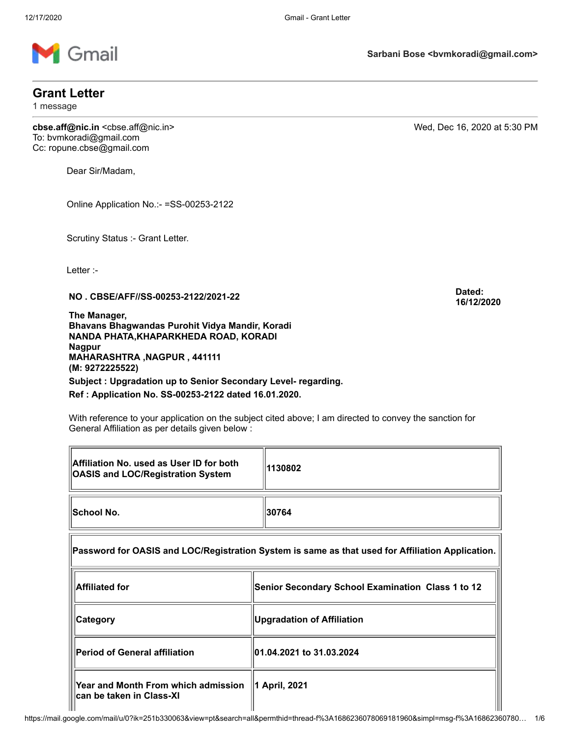

# **Grant Letter**

1 message

**cbse.aff@nic.in** <cbse.aff@nic.in> Wed, Dec 16, 2020 at 5:30 PM To: bvmkoradi@gmail.com Cc: ropune.cbse@gmail.com

Dear Sir/Madam,

Online Application No.:- =SS-00253-2122

Scrutiny Status :- Grant Letter.

Letter :-

匠

**NO . CBSE/AFF//SS-00253-2122/2021-22 Dated:**

**The Manager, Bhavans Bhagwandas Purohit Vidya Mandir, Koradi NANDA PHATA,KHAPARKHEDA ROAD, KORADI Nagpur MAHARASHTRA ,NAGPUR , 441111 (M: 9272225522)** 

**Subject : Upgradation up to Senior Secondary Level- regarding. Ref : Application No. SS-00253-2122 dated 16.01.2020.**

With reference to your application on the subject cited above; I am directed to convey the sanction for General Affiliation as per details given below :

| Affiliation No. used as User ID for both<br><b>OASIS and LOC/Registration System</b>             | 1130802                                           |  |
|--------------------------------------------------------------------------------------------------|---------------------------------------------------|--|
| School No.                                                                                       | 30764                                             |  |
| Password for OASIS and LOC/Registration System is same as that used for Affiliation Application. |                                                   |  |
| <b>Affiliated for</b>                                                                            | Senior Secondary School Examination Class 1 to 12 |  |
| <b>Category</b>                                                                                  | <b>Upgradation of Affiliation</b>                 |  |
| <b>Period of General affiliation</b>                                                             | 01.04.2021 to 31.03.2024                          |  |
| Year and Month From which admission<br>can be taken in Class-XI                                  | 1 April, 2021                                     |  |

**Sarbani Bose <bvmkoradi@gmail.com>**

**16/12/2020**

ᅱ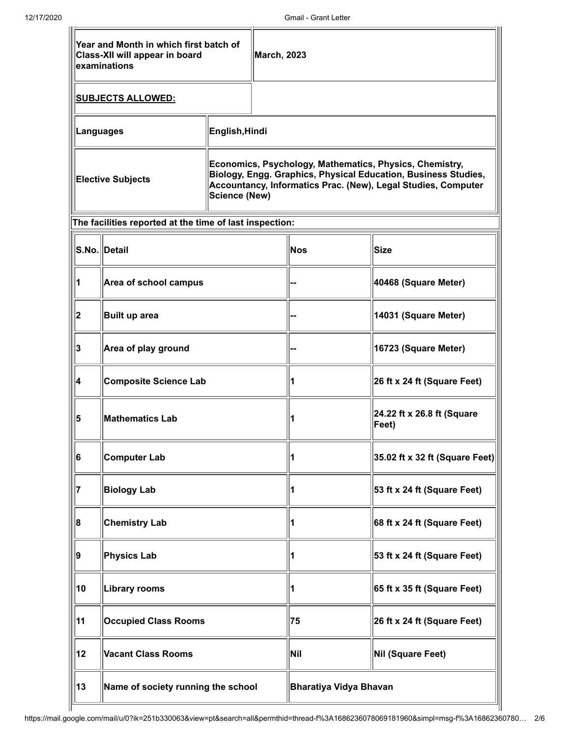|                                           | Year and Month in which first batch of<br><b>Class-XII will appear in board</b><br>examinations |                | <b>March, 2023</b>     |                                                                                                                                                                                            |                             |
|-------------------------------------------|-------------------------------------------------------------------------------------------------|----------------|------------------------|--------------------------------------------------------------------------------------------------------------------------------------------------------------------------------------------|-----------------------------|
|                                           | <u>SUBJECTS ALLOWED:</u>                                                                        |                |                        |                                                                                                                                                                                            |                             |
|                                           | <b>Languages</b>                                                                                | English, Hindi |                        |                                                                                                                                                                                            |                             |
| <b>Elective Subjects</b><br>Science (New) |                                                                                                 |                |                        | Economics, Psychology, Mathematics, Physics, Chemistry,<br>Biology, Engg. Graphics, Physical Education, Business Studies,<br>Accountancy, Informatics Prac. (New), Legal Studies, Computer |                             |
|                                           | The facilities reported at the time of last inspection:                                         |                |                        |                                                                                                                                                                                            |                             |
|                                           | S.No. Detail                                                                                    |                |                        | Nos                                                                                                                                                                                        | Size                        |
|                                           | Area of school campus                                                                           |                |                        |                                                                                                                                                                                            | 40468 (Square Meter)        |
| 2                                         | Built up area                                                                                   |                |                        | 14031 (Square Meter)                                                                                                                                                                       |                             |
| 3                                         | Area of play ground                                                                             |                |                        | 16723 (Square Meter)                                                                                                                                                                       |                             |
| 4                                         | <b>Composite Science Lab</b>                                                                    |                |                        | 26 ft x 24 ft (Square Feet)                                                                                                                                                                |                             |
| 5                                         | <b>Mathematics Lab</b>                                                                          |                | 1                      | 24.22 ft x 26.8 ft (Square<br>Feet)                                                                                                                                                        |                             |
| 6                                         | Computer Lab                                                                                    |                | 11                     | $ 35.02$ ft x 32 ft (Square Feet)                                                                                                                                                          |                             |
|                                           | <b>Biology Lab</b>                                                                              |                |                        |                                                                                                                                                                                            | 53 ft x 24 ft (Square Feet) |
| 8                                         | <b>Chemistry Lab</b>                                                                            |                |                        |                                                                                                                                                                                            | 68 ft x 24 ft (Square Feet) |
| 9                                         | Physics Lab                                                                                     |                |                        | 53 ft x 24 ft (Square Feet)                                                                                                                                                                |                             |
| 10                                        | <b>Library rooms</b>                                                                            |                |                        | 65 ft x 35 ft (Square Feet)                                                                                                                                                                |                             |
| 11                                        | <b>Occupied Class Rooms</b>                                                                     |                |                        | 75                                                                                                                                                                                         | 26 ft x 24 ft (Square Feet) |
| 12                                        | <b>Vacant Class Rooms</b>                                                                       |                | Nil                    | <b>Nil (Square Feet)</b>                                                                                                                                                                   |                             |
| 13                                        | Name of society running the school                                                              |                | Bharatiya Vidya Bhavan |                                                                                                                                                                                            |                             |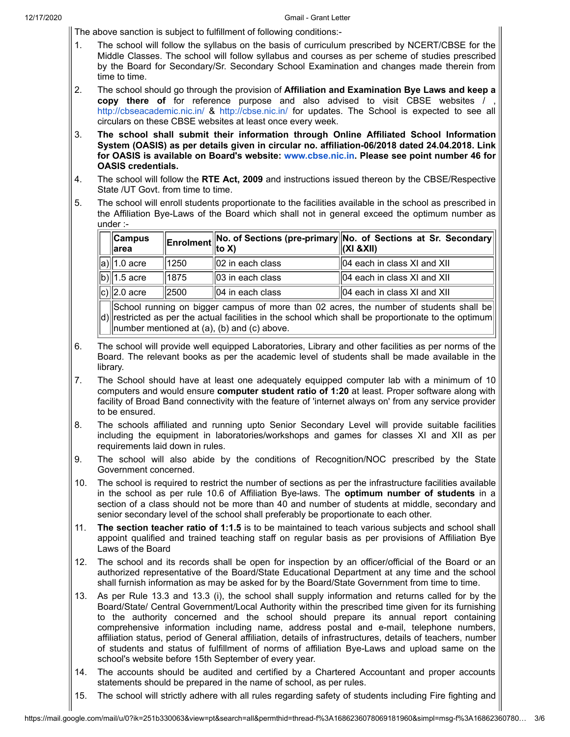The above sanction is subject to fulfillment of following conditions:-

- 1. The school will follow the syllabus on the basis of curriculum prescribed by NCERT/CBSE for the Middle Classes. The school will follow syllabus and courses as per scheme of studies prescribed by the Board for Secondary/Sr. Secondary School Examination and changes made therein from time to time.
- 2. The school should go through the provision of **Affiliation and Examination Bye Laws and keep a copy there of** for reference purpose and also advised to visit CBSE websites / , <http://cbseacademic.nic.in/> & <http://cbse.nic.in/> for updates. The School is expected to see all circulars on these CBSE websites at least once every week.
- 3. **The school shall submit their information through Online Affiliated School Information System (OASIS) as per details given in circular no. affiliation-06/2018 dated 24.04.2018. Link for OASIS is available on Board's website: [www.cbse.nic.in.](http://www.cbse.nic.in/) Please see point number 46 for OASIS credentials.**
- 4. The school will follow the **RTE Act, 2009** and instructions issued thereon by the CBSE/Respective State /UT Govt. from time to time.
- 5. The school will enroll students proportionate to the facilities available in the school as prescribed in the Affiliation Bye-Laws of the Board which shall not in general exceed the optimum number as under :-

| ∥Campus<br>larea          |      |                      | <b>Enrolment</b> No. of Sections (pre-primary No. of Sections at Sr. Secondary $\alpha$ |
|---------------------------|------|----------------------|-----------------------------------------------------------------------------------------|
| $\ \mathsf{a}\ $ 1.0 acre | 1250 | $  02$ in each class | $  04$ each in class XI and XII                                                         |
| $\sqrt{b}$ 1.5 acre       | 1875 | $  03$ in each class | $  04$ each in class XI and XII                                                         |
| $\ c\rangle\ 2.0$ acre    | 2500 | $  04$ in each class | $  04$ each in class XI and XII                                                         |

d) $\parallel$ restricted as per the actual facilities in the school which shall be proportionate to the optimum $\parallel$ School running on bigger campus of more than 02 acres, the number of students shall be number mentioned at (a), (b) and (c) above.

- 6. The school will provide well equipped Laboratories, Library and other facilities as per norms of the Board. The relevant books as per the academic level of students shall be made available in the library.
- 7. The School should have at least one adequately equipped computer lab with a minimum of 10 computers and would ensure **computer student ratio of 1:20** at least. Proper software along with facility of Broad Band connectivity with the feature of 'internet always on' from any service provider to be ensured.
- 8. The schools affiliated and running upto Senior Secondary Level will provide suitable facilities including the equipment in laboratories/workshops and games for classes XI and XII as per requirements laid down in rules.
- 9. The school will also abide by the conditions of Recognition/NOC prescribed by the State Government concerned.
- 10. The school is required to restrict the number of sections as per the infrastructure facilities available in the school as per rule 10.6 of Affiliation Bye-laws. The **optimum number of students** in a section of a class should not be more than 40 and number of students at middle, secondary and senior secondary level of the school shall preferably be proportionate to each other.
- 11. **The section teacher ratio of 1:1.5** is to be maintained to teach various subjects and school shall appoint qualified and trained teaching staff on regular basis as per provisions of Affiliation Bye Laws of the Board
- 12. The school and its records shall be open for inspection by an officer/official of the Board or an authorized representative of the Board/State Educational Department at any time and the school shall furnish information as may be asked for by the Board/State Government from time to time.
- 13. As per Rule 13.3 and 13.3 (i), the school shall supply information and returns called for by the Board/State/ Central Government/Local Authority within the prescribed time given for its furnishing to the authority concerned and the school should prepare its annual report containing comprehensive information including name, address postal and e-mail, telephone numbers, affiliation status, period of General affiliation, details of infrastructures, details of teachers, number of students and status of fulfillment of norms of affiliation Bye-Laws and upload same on the school's website before 15th September of every year.
- 14. The accounts should be audited and certified by a Chartered Accountant and proper accounts statements should be prepared in the name of school, as per rules.
- 15. The school will strictly adhere with all rules regarding safety of students including Fire fighting and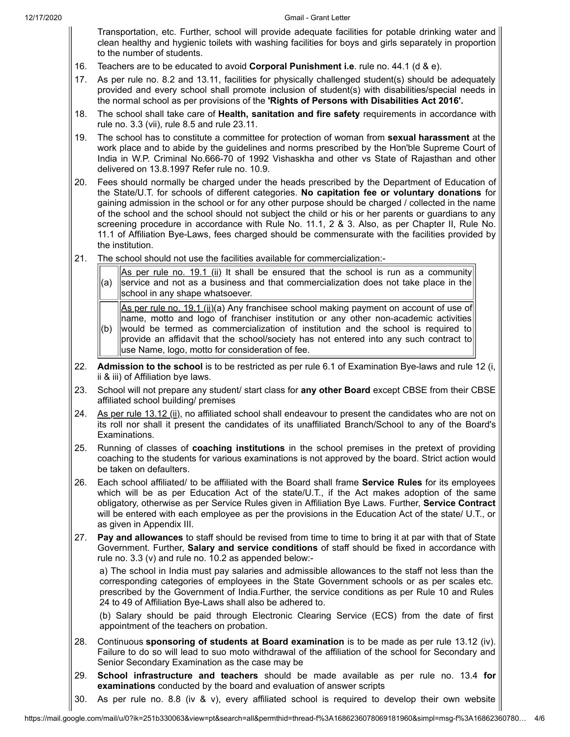Transportation, etc. Further, school will provide adequate facilities for potable drinking water and clean healthy and hygienic toilets with washing facilities for boys and girls separately in proportion to the number of students.

- 16. Teachers are to be educated to avoid **Corporal Punishment i.e**. rule no. 44.1 (d & e).
- 17. As per rule no. 8.2 and 13.11, facilities for physically challenged student(s) should be adequately provided and every school shall promote inclusion of student(s) with disabilities/special needs in the normal school as per provisions of the **'Rights of Persons with Disabilities Act 2016'.**
- 18. The school shall take care of **Health, sanitation and fire safety** requirements in accordance with rule no. 3.3 (vii), rule 8.5 and rule 23.11.
- 19. The school has to constitute a committee for protection of woman from **sexual harassment** at the work place and to abide by the guidelines and norms prescribed by the Hon'ble Supreme Court of India in W.P. Criminal No.666-70 of 1992 Vishaskha and other vs State of Rajasthan and other delivered on 13.8.1997 Refer rule no. 10.9.
- 20. Fees should normally be charged under the heads prescribed by the Department of Education of the State/U.T. for schools of different categories. **No capitation fee or voluntary donations** for gaining admission in the school or for any other purpose should be charged / collected in the name of the school and the school should not subject the child or his or her parents or guardians to any screening procedure in accordance with Rule No. 11.1, 2 & 3. Also, as per Chapter II, Rule No. 11.1 of Affiliation Bye-Laws, fees charged should be commensurate with the facilities provided by the institution.
- 21. The school should not use the facilities available for commercialization:-
	- (a) As per rule no. 19.1 (ii) It shall be ensured that the school is run as a community service and not as a business and that commercialization does not take place in the school in any shape whatsoever.

(b) As per rule no. 19.1 (ii)(a) Any franchisee school making payment on account of use of name, motto and logo of franchiser institution or any other non-academic activities would be termed as commercialization of institution and the school is required to

- provide an affidavit that the school/society has not entered into any such contract to use Name, logo, motto for consideration of fee.
- 22. **Admission to the school** is to be restricted as per rule 6.1 of Examination Bye-laws and rule 12 (i, ii & iii) of Affiliation bye laws.
- 23. School will not prepare any student/ start class for **any other Board** except CBSE from their CBSE affiliated school building/ premises
- 24. As per rule  $13.12$  (ii), no affiliated school shall endeavour to present the candidates who are not on its roll nor shall it present the candidates of its unaffiliated Branch/School to any of the Board's Examinations.
- 25. Running of classes of **coaching institutions** in the school premises in the pretext of providing coaching to the students for various examinations is not approved by the board. Strict action would be taken on defaulters.
- 26. Each school affiliated/ to be affiliated with the Board shall frame **Service Rules** for its employees which will be as per Education Act of the state/U.T., if the Act makes adoption of the same obligatory, otherwise as per Service Rules given in Affiliation Bye Laws. Further, **Service Contract** will be entered with each employee as per the provisions in the Education Act of the state/ U.T., or as given in Appendix III.
- 27. **Pay and allowances** to staff should be revised from time to time to bring it at par with that of State Government. Further, **Salary and service conditions** of staff should be fixed in accordance with rule no. 3.3 (v) and rule no. 10.2 as appended below:-

a) The school in India must pay salaries and admissible allowances to the staff not less than the corresponding categories of employees in the State Government schools or as per scales etc. prescribed by the Government of India.Further, the service conditions as per Rule 10 and Rules 24 to 49 of Affiliation Bye-Laws shall also be adhered to.

(b) Salary should be paid through Electronic Clearing Service (ECS) from the date of first appointment of the teachers on probation.

- 28. Continuous **sponsoring of students at Board examination** is to be made as per rule 13.12 (iv). Failure to do so will lead to suo moto withdrawal of the affiliation of the school for Secondary and Senior Secondary Examination as the case may be
- 29. **School infrastructure and teachers** should be made available as per rule no. 13.4 **for examinations** conducted by the board and evaluation of answer scripts
- 30. As per rule no. 8.8 (iv & v), every affiliated school is required to develop their own website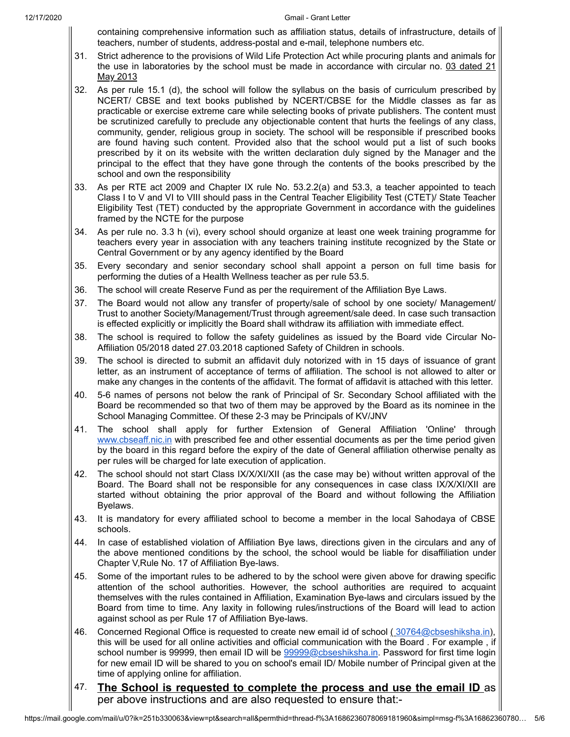containing comprehensive information such as affiliation status, details of infrastructure, details of teachers, number of students, address-postal and e-mail, telephone numbers etc.

- 31. Strict adherence to the provisions of Wild Life Protection Act while procuring plants and animals for the use in laboratories by the school must be made in accordance with circular no. 03 dated 21 May 2013
- 32. As per rule 15.1 (d), the school will follow the syllabus on the basis of curriculum prescribed by NCERT/ CBSE and text books published by NCERT/CBSE for the Middle classes as far as practicable or exercise extreme care while selecting books of private publishers. The content must be scrutinized carefully to preclude any objectionable content that hurts the feelings of any class, community, gender, religious group in society. The school will be responsible if prescribed books are found having such content. Provided also that the school would put a list of such books prescribed by it on its website with the written declaration duly signed by the Manager and the principal to the effect that they have gone through the contents of the books prescribed by the school and own the responsibility
- 33. As per RTE act 2009 and Chapter IX rule No. 53.2.2(a) and 53.3, a teacher appointed to teach Class I to V and VI to VIII should pass in the Central Teacher Eligibility Test (CTET)/ State Teacher Eligibility Test (TET) conducted by the appropriate Government in accordance with the guidelines framed by the NCTE for the purpose
- 34. As per rule no. 3.3 h (vi), every school should organize at least one week training programme for teachers every year in association with any teachers training institute recognized by the State or Central Government or by any agency identified by the Board
- 35. Every secondary and senior secondary school shall appoint a person on full time basis for performing the duties of a Health Wellness teacher as per rule 53.5.
- 36. The school will create Reserve Fund as per the requirement of the Affiliation Bye Laws.
- 37. The Board would not allow any transfer of property/sale of school by one society/ Management/ Trust to another Society/Management/Trust through agreement/sale deed. In case such transaction is effected explicitly or implicitly the Board shall withdraw its affiliation with immediate effect.
- 38. The school is required to follow the safety guidelines as issued by the Board vide Circular No-Affiliation 05/2018 dated 27.03.2018 captioned Safety of Children in schools.
- 39. The school is directed to submit an affidavit duly notorized with in 15 days of issuance of grant letter, as an instrument of acceptance of terms of affiliation. The school is not allowed to alter or make any changes in the contents of the affidavit. The format of affidavit is attached with this letter.
- 40. 5-6 names of persons not below the rank of Principal of Sr. Secondary School affiliated with the Board be recommended so that two of them may be approved by the Board as its nominee in the School Managing Committee. Of these 2-3 may be Principals of KV/JNV
- 41. The school shall apply for further Extension of General Affiliation 'Online' through [www.cbseaff.nic.in](http://www.cbseaff.nic.in/) with prescribed fee and other essential documents as per the time period given by the board in this regard before the expiry of the date of General affiliation otherwise penalty as per rules will be charged for late execution of application.
- 42. The school should not start Class IX/X/XI/XII (as the case may be) without written approval of the Board. The Board shall not be responsible for any consequences in case class IX/X/XI/XII are started without obtaining the prior approval of the Board and without following the Affiliation Byelaws.
- 43. It is mandatory for every affiliated school to become a member in the local Sahodaya of CBSE schools.
- 44. In case of established violation of Affiliation Bye laws, directions given in the circulars and any of the above mentioned conditions by the school, the school would be liable for disaffiliation under Chapter V,Rule No. 17 of Affiliation Bye-laws.
- 45. Some of the important rules to be adhered to by the school were given above for drawing specific attention of the school authorities. However, the school authorities are required to acquaint themselves with the rules contained in Affiliation, Examination Bye-laws and circulars issued by the Board from time to time. Any laxity in following rules/instructions of the Board will lead to action against school as per Rule 17 of Affiliation Bye-laws.
- 46. Concerned Regional Office is requested to create new email id of school ([30764@cbseshiksha.in](mailto:30764@cbseshiksha.in)), this will be used for all online activities and official communication with the Board . For example , if school number is 99999, then email ID will be [99999@cbseshiksha.in](mailto:99999@cbseshiksha.in). Password for first time login for new email ID will be shared to you on school's email ID/ Mobile number of Principal given at the time of applying online for affiliation.
- 47. **The School is requested to complete the process and use the email ID** as per above instructions and are also requested to ensure that:-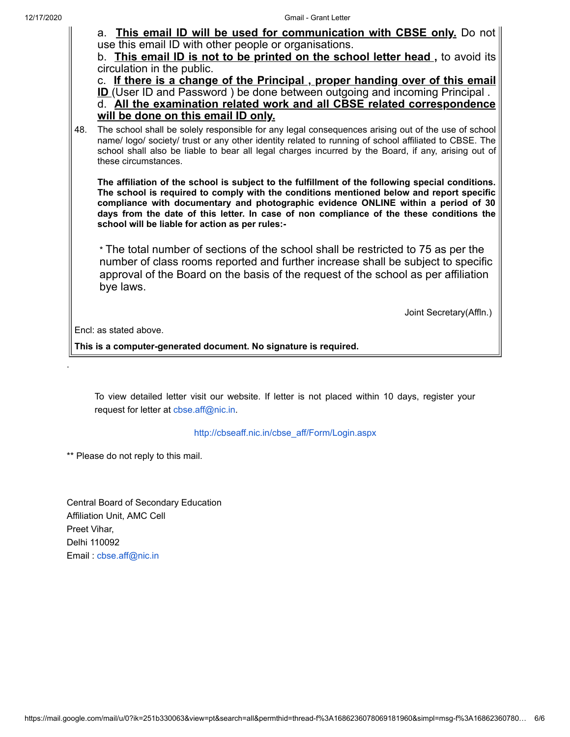12/17/2020 Gmail - Grant Letter a. **This email ID will be used for communication with CBSE only.** Do not use this email ID with other people or organisations. b. **This email ID is not to be printed on the school letter head ,** to avoid its circulation in the public. c. **If there is a change of the Principal , proper handing over of this email ID** (User ID and Password) be done between outgoing and incoming Principal. d. **All the examination related work and all CBSE related correspondence will be done on this email ID only.** 48. The school shall be solely responsible for any legal consequences arising out of the use of school name/ logo/ society/ trust or any other identity related to running of school affiliated to CBSE. The school shall also be liable to bear all legal charges incurred by the Board, if any, arising out of these circumstances. **The affiliation of the school is subject to the fulfillment of the following special conditions. The school is required to comply with the conditions mentioned below and report specific compliance with documentary and photographic evidence ONLINE within a period of 30 days from the date of this letter. In case of non compliance of the these conditions the school will be liable for action as per rules:-** \* The total number of sections of the school shall be restricted to 75 as per the number of class rooms reported and further increase shall be subject to specific approval of the Board on the basis of the request of the school as per affiliation bye laws. Joint Secretary(Affln.) Encl: as stated above. **This is a computer-generated document. No signature is required.**

> To view detailed letter visit our website. If letter is not placed within 10 days, register your request for letter at [cbse.aff@nic.in.](mailto:cbse.aff@nic.in)

> > [http://cbseaff.nic.in/cbse\\_aff/Form/Login.aspx](http://cbseaff.nic.in/cbse_aff/Form/Login.aspx)

\*\* Please do not reply to this mail.

.

Central Board of Secondary Education Affiliation Unit, AMC Cell Preet Vihar, Delhi 110092 Email : [cbse.aff@nic.in](mailto:cbse.aff@nic.in)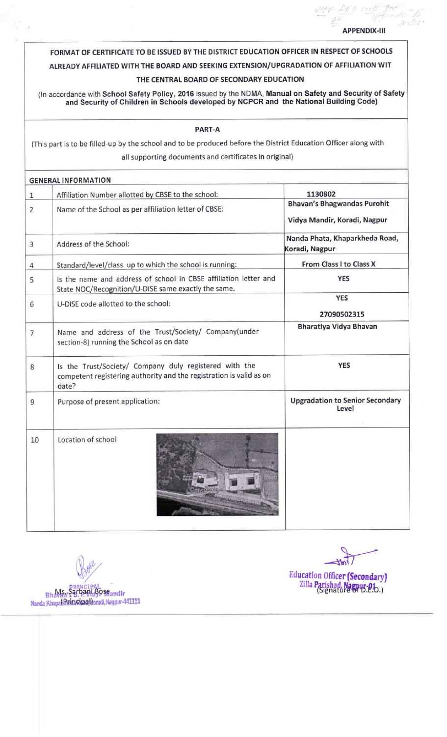## **APPENDIX-III**

da to

## FORMAT OF CERTIFICATE TO BE ISSUED BY THE DISTRICT EDUCATION OFFICER IN RESPECT OF SCHOOLS

# ALREADY AFFILIATED WITH THE BOARD AND SEEKING EXTENSION/UPGRADATION OF AFFILIATION WIT

# THE CENTRAL BOARD OF SECONDARY EDUCATION

(In accordance with School Safety Policy, 2016 issued by the NDMA, Manual on Safety and Security of Safety<br>and Security of Children in Schools developed by NCPCR and the National Building Code)

#### PART-A

(This part is to be filled-up by the school and to be produced before the District Education Officer along with all supporting documents and certificates in original)

|                | <b>GENERAL INFORMATION</b>                                                                                                             |                                                                    |
|----------------|----------------------------------------------------------------------------------------------------------------------------------------|--------------------------------------------------------------------|
| $\mathbf{1}$   | Affiliation Number allotted by CBSE to the school:                                                                                     | 1130802                                                            |
| $\overline{2}$ | Name of the School as per affiliation letter of CBSE:                                                                                  | <b>Bhavan's Bhagwandas Purohit</b><br>Vidya Mandir, Koradi, Nagpur |
| 3              | Address of the School:                                                                                                                 | Nanda Phata, Khaparkheda Road,<br>Koradi, Nagpur                   |
| 4              | Standard/level/class up to which the school is running:                                                                                | From Class I to Class X                                            |
| 5              | Is the name and address of school in CBSE affiliation letter and<br>State NOC/Recognition/U-DISE same exactly the same.                | <b>YES</b>                                                         |
| 6              | U-DISE code allotted to the school:                                                                                                    | <b>YES</b><br>27090502315                                          |
| $\overline{7}$ | Name and address of the Trust/Society/ Company(under<br>section-8) running the School as on date                                       | Bharatiya Vidya Bhavan                                             |
| 8              | Is the Trust/Society/ Company duly registered with the<br>competent registering authority and the registration is valid as on<br>date? | <b>YES</b>                                                         |
| 9              | Purpose of present application:                                                                                                        | <b>Upgradation to Senior Secondary</b><br>Level                    |
| 10             | Location of school                                                                                                                     |                                                                    |

Bhavan Sarbani Boseandir Nansla Khapa(iPrincipa Horadi, Nagpur-441111

Education Officer (Secondary)<br>Zilla Parishad, Nagpus-0.b.)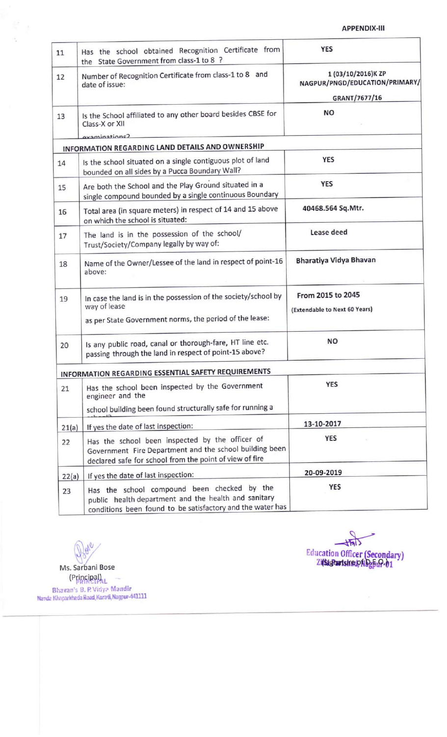## **APPENDIX-III**

| 11    | Has the school obtained Recognition Certificate from<br>the State Government from class-1 to 8 ?                                                                      | <b>YES</b>                                                            |  |
|-------|-----------------------------------------------------------------------------------------------------------------------------------------------------------------------|-----------------------------------------------------------------------|--|
| 12    | Number of Recognition Certificate from class-1 to 8 and<br>date of issue:                                                                                             | 1 (03/10/2016)K ZP<br>NAGPUR/PNGD/EDUCATION/PRIMARY/<br>GRANT/7677/16 |  |
| 13    | Is the School affiliated to any other board besides CBSE for<br>Class-X or XII                                                                                        | NO                                                                    |  |
|       | avaminations?<br>INFORMATION REGARDING LAND DETAILS AND OWNERSHIP                                                                                                     |                                                                       |  |
| 14    | Is the school situated on a single contiguous plot of land<br>bounded on all sides by a Pucca Boundary Wall?                                                          | <b>YES</b>                                                            |  |
| 15    | Are both the School and the Play Ground situated in a<br>single compound bounded by a single continuous Boundary                                                      | <b>YES</b>                                                            |  |
| 16    | Total area (in square meters) in respect of 14 and 15 above<br>on which the school is situated:                                                                       | 40468.564 Sq.Mtr.                                                     |  |
| 17    | The land is in the possession of the school/<br>Trust/Society/Company legally by way of:                                                                              | Lease deed                                                            |  |
| 18    | Name of the Owner/Lessee of the land in respect of point-16<br>above:                                                                                                 | Bharatiya Vidya Bhavan                                                |  |
| 19    | In case the land is in the possession of the society/school by<br>way of lease<br>as per State Government norms, the period of the lease:                             | From 2015 to 2045<br>(Extendable to Next 60 Years)                    |  |
| 20    | Is any public road, canal or thorough-fare, HT line etc.<br>passing through the land in respect of point-15 above?                                                    | <b>NO</b>                                                             |  |
|       | INFORMATION REGARDING ESSENTIAL SAFETY REQUIREMENTS                                                                                                                   |                                                                       |  |
| 21    | Has the school been inspected by the Government<br>engineer and the                                                                                                   | <b>YES</b>                                                            |  |
|       | school building been found structurally safe for running a                                                                                                            |                                                                       |  |
| 21(a) | If yes the date of last inspection:                                                                                                                                   | 13-10-2017                                                            |  |
| 22    | Has the school been inspected by the officer of<br>Government Fire Department and the school building been<br>declared safe for school from the point of view of fire | <b>YES</b>                                                            |  |
| 22(a) | If yes the date of last inspection:                                                                                                                                   | 20-09-2019                                                            |  |
| 23    | Has the school compound been checked by the<br>public health department and the health and sanitary<br>conditions been found to be satisfactory and the water has     | <b>YES</b>                                                            |  |

Joyer  $\mathbb{Q}$ Ms. Sarbani Bose (Principal)<br>
(Principal)<br>
Bhavan's B. P. Vidya Mandir<br>
Nanda Khaparkheda Road, Koradi, Nagpur-441111

 $\frac{1}{\sqrt{2}}$ 

 $\frac{1}{\sqrt{M}}$ Education Officer (Secondary)<br>Zitserartstretpflagen-01